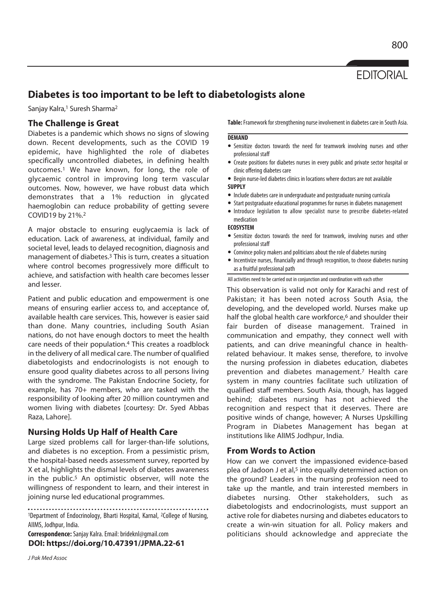**EDITORIAL** 

# **Diabetes is too important to be left to diabetologists alone**

Sanjay Kalra,<sup>1</sup> Suresh Sharma<sup>2</sup>

# **The Challenge is Great**

Diabetes is a pandemic which shows no signs of slowing down. Recent developments, such as the COVID 19 epidemic, have highlighted the role of diabetes specifically uncontrolled diabetes, in defining health outcomes.1 We have known, for long, the role of glycaemic control in improving long term vascular outcomes. Now, however, we have robust data which demonstrates that a 1% reduction in glycated haemoglobin can reduce probability of getting severe COVID19 by 21%.2

A major obstacle to ensuring euglycaemia is lack of education. Lack of awareness, at individual, family and societal level, leads to delayed recognition, diagnosis and management of diabetes.3 This is turn, creates a situation where control becomes progressively more difficult to achieve, and satisfaction with health care becomes lesser and lesser.

Patient and public education and empowerment is one means of ensuring earlier access to, and acceptance of, available health care services. This, however is easier said than done. Many countries, including South Asian nations, do not have enough doctors to meet the health care needs of their population.4 This creates a roadblock in the delivery of all medical care. The number of qualified diabetologists and endocrinologists is not enough to ensure good quality diabetes across to all persons living with the syndrome. The Pakistan Endocrine Society, for example, has 70+ members, who are tasked with the responsibility of looking after 20 million countrymen and women living with diabetes [courtesy: Dr. Syed Abbas Raza, Lahore].

# **Nursing Holds Up Half of Health Care**

Large sized problems call for larger-than-life solutions, and diabetes is no exception. From a pessimistic prism, the hospital-based needs assessment survey, reported by X et al, highlights the dismal levels of diabetes awareness in the public.<sup>5</sup> An optimistic observer, will note the willingness of respondent to learn, and their interest in joining nurse led educational programmes.

1Department of Endocrinology, Bharti Hospital, Karnal, 2College of Nursing, AIIMS, Jodhpur, India.

**Correspondence:** Sanjay Kalra. Email: brideknl@gmail.com **DOI: https://doi.org/10.47391/JPMA.22-61** 

J Pak Med Assoc

**Table:** Framework for strengthening nurse involvement in diabetes care in South Asia.

### **DEMAND**

- Sensitize doctors towards the need for teamwork involving nurses and other professional staff
- Create positions for diabetes nurses in every public and private sector hospital or clinic offering diabetes care
- Begin nurse-led diabetes clinics in locations where doctors are not available **SUPPLY**
- Include diabetes care in undergraduate and postgraduate nursing curricula
- Start postgraduate educational programmes for nurses in diabetes management
- $\bullet$  Introduce legislation to allow specialist nurse to prescribe diabetes-related medication

### **ECOSYSTEM**

- Sensitize doctors towards the need for teamwork, involving nurses and other professional staff
- Convince policy makers and politicians about the role of diabetes nursing
- $\bullet$  Incentivize nurses, financially and through recognition, to choose diabetes nursing as a fruitful professional path

### All activities need to be carried out in conjunction and coordination with each other

This observation is valid not only for Karachi and rest of Pakistan; it has been noted across South Asia, the developing, and the developed world. Nurses make up half the global health care workforce,<sup>6</sup> and shoulder their fair burden of disease management. Trained in communication and empathy, they connect well with patients, and can drive meaningful chance in healthrelated behaviour. It makes sense, therefore, to involve the nursing profession in diabetes education, diabetes prevention and diabetes management.7 Health care system in many countries facilitate such utilization of qualified staff members. South Asia, though, has lagged behind; diabetes nursing has not achieved the recognition and respect that it deserves. There are positive winds of change, however; A Nurses Upskilling Program in Diabetes Management has began at institutions like AlIMS Jodhpur, India.

## **From Words to Action**

How can we convert the impassioned evidence-based plea of Jadoon J et al,<sup>5</sup> into equally determined action on the ground? Leaders in the nursing profession need to take up the mantle, and train interested members in diabetes nursing. Other stakeholders, such as diabetologists and endocrinologists, must support an active role for diabetes nursing and diabetes educators to create a win-win situation for all. Policy makers and politicians should acknowledge and appreciate the